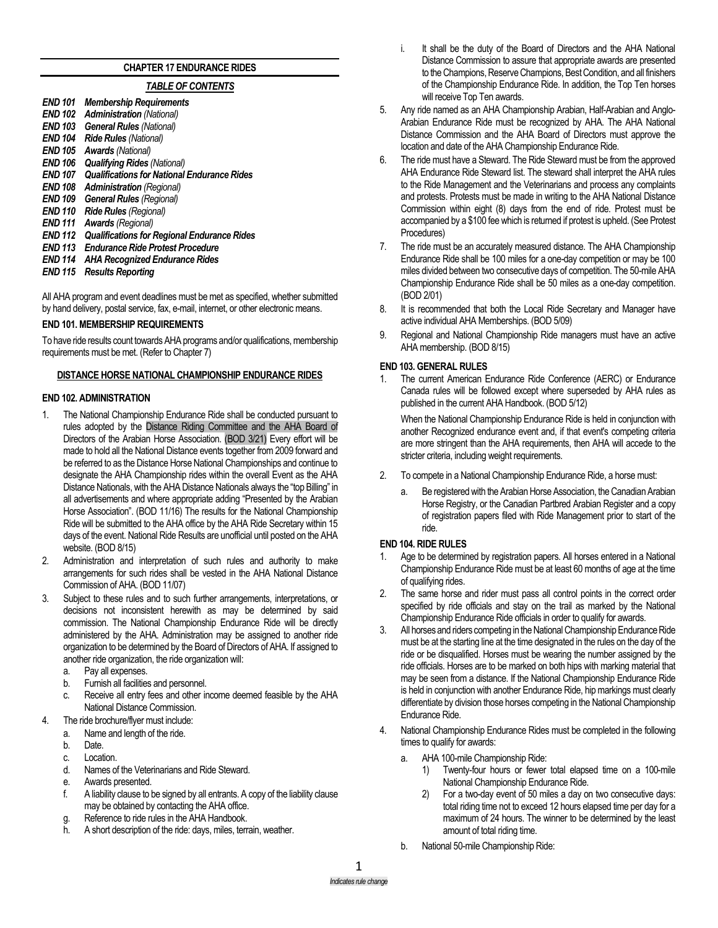# **CHAPTER 17 ENDURANCE RIDES**

# *TABLE OF CONTENTS*

- *END 101 Membership Requirements* **Administration** (National) *END 103 General Rules (National) END 104 Ride Rules (National) END 105 Awards (National) END 106 Qualifying Rides (National) END 107 Qualifications for National Endurance Rides END 108 Administration (Regional) END 109 General Rules (Regional) END 110 Ride Rules (Regional)*
- *END 111 Awards (Regional)*
- *END 112 Qualifications for Regional Endurance Rides*
- *END 113 Endurance Ride Protest Procedure*
- *END 114 AHA Recognized Endurance Rides*
- *END 115 Results Reporting*

All AHA program and event deadlines must be met as specified, whether submitted by hand delivery, postal service, fax, e-mail, internet, or other electronic means.

#### **END 101. MEMBERSHIP REQUIREMENTS**

To have ride results count towards AHA programs and/or qualifications, membership requirements must be met. (Refer to Chapter 7)

#### **DISTANCE HORSE NATIONAL CHAMPIONSHIP ENDURANCE RIDES**

#### **END 102. ADMINISTRATION**

- 1. The National Championship Endurance Ride shall be conducted pursuant to rules adopted by the Distance Riding Committee and the AHA Board of Directors of the Arabian Horse Association. (BOD 3/21) Every effort will be made to hold all the National Distance events together from 2009 forward and be referred to as the Distance Horse National Championships and continue to designate the AHA Championship rides within the overall Event as the AHA Distance Nationals, with the AHA Distance Nationals always the "top Billing" in all advertisements and where appropriate adding "Presented by the Arabian Horse Association". (BOD 11/16) The results for the National Championship Ride will be submitted to the AHA office by the AHA Ride Secretary within 15 days of the event. National Ride Results are unofficial until posted on the AHA website. (BOD 8/15)
- 2. Administration and interpretation of such rules and authority to make arrangements for such rides shall be vested in the AHA National Distance Commission of AHA. (BOD 11/07)
- 3. Subject to these rules and to such further arrangements, interpretations, or decisions not inconsistent herewith as may be determined by said commission. The National Championship Endurance Ride will be directly administered by the AHA. Administration may be assigned to another ride organization to be determined by the Board of Directors of AHA. If assigned to another ride organization, the ride organization will:
	- a. Pay all expenses.
	- b. Furnish all facilities and personnel.
	- c. Receive all entry fees and other income deemed feasible by the AHA National Distance Commission.
- 4. The ride brochure/flyer must include:
	- a. Name and length of the ride.
	- b. Date.
	- c. Location.
	- d. Names of the Veterinarians and Ride Steward.
	- e. Awards presented.
	- f. A liability clause to be signed by all entrants. A copy of the liability clause may be obtained by contacting the AHA office.
	- g. Reference to ride rules in the AHA Handbook.
	- h. A short description of the ride: days, miles, terrain, weather.
- i. It shall be the duty of the Board of Directors and the AHA National Distance Commission to assure that appropriate awards are presented to the Champions, Reserve Champions, Best Condition, and all finishers of the Championship Endurance Ride. In addition, the Top Ten horses will receive Top Ten awards.
- 5. Any ride named as an AHA Championship Arabian, Half-Arabian and Anglo-Arabian Endurance Ride must be recognized by AHA. The AHA National Distance Commission and the AHA Board of Directors must approve the location and date of the AHA Championship Endurance Ride.
- 6. The ride must have a Steward. The Ride Steward must be from the approved AHA Endurance Ride Steward list. The steward shall interpret the AHA rules to the Ride Management and the Veterinarians and process any complaints and protests. Protests must be made in writing to the AHA National Distance Commission within eight (8) days from the end of ride. Protest must be accompanied by a \$100 fee which is returned if protest is upheld. (See Protest Procedures)
- 7. The ride must be an accurately measured distance. The AHA Championship Endurance Ride shall be 100 miles for a one-day competition or may be 100 miles divided between two consecutive days of competition. The 50-mile AHA Championship Endurance Ride shall be 50 miles as a one-day competition. (BOD 2/01)
- 8. It is recommended that both the Local Ride Secretary and Manager have active individual AHA Memberships. (BOD 5/09)
- 9. Regional and National Championship Ride managers must have an active AHA membership. (BOD 8/15)

### **END 103. GENERAL RULES**

1. The current American Endurance Ride Conference (AERC) or Endurance Canada rules will be followed except where superseded by AHA rules as published in the current AHA Handbook. (BOD 5/12)

When the National Championship Endurance Ride is held in conjunction with another Recognized endurance event and, if that event's competing criteria are more stringent than the AHA requirements, then AHA will accede to the stricter criteria, including weight requirements.

- 2. To compete in a National Championship Endurance Ride, a horse must:
	- a. Be registered with the Arabian Horse Association, the Canadian Arabian Horse Registry, or the Canadian Partbred Arabian Register and a copy of registration papers filed with Ride Management prior to start of the ride.

#### **END 104. RIDE RULES**

- 1. Age to be determined by registration papers. All horses entered in a National Championship Endurance Ride must be at least 60 months of age at the time of qualifying rides.
- 2. The same horse and rider must pass all control points in the correct order specified by ride officials and stay on the trail as marked by the National Championship Endurance Ride officials in order to qualify for awards.
- 3. All horses and riders competing in the National Championship Endurance Ride must be at the starting line at the time designated in the rules on the day of the ride or be disqualified. Horses must be wearing the number assigned by the ride officials. Horses are to be marked on both hips with marking material that may be seen from a distance. If the National Championship Endurance Ride is held in conjunction with another Endurance Ride, hip markings must clearly differentiate by division those horses competing in the National Championship Endurance Ride.
- 4. National Championship Endurance Rides must be completed in the following times to qualify for awards:
	- a. AHA 100-mile Championship Ride:
		- 1) Twenty-four hours or fewer total elapsed time on a 100-mile National Championship Endurance Ride.
		- 2) For a two-day event of 50 miles a day on two consecutive days: total riding time not to exceed 12 hours elapsed time per day for a maximum of 24 hours. The winner to be determined by the least amount of total riding time.
	- b. National 50-mile Championship Ride: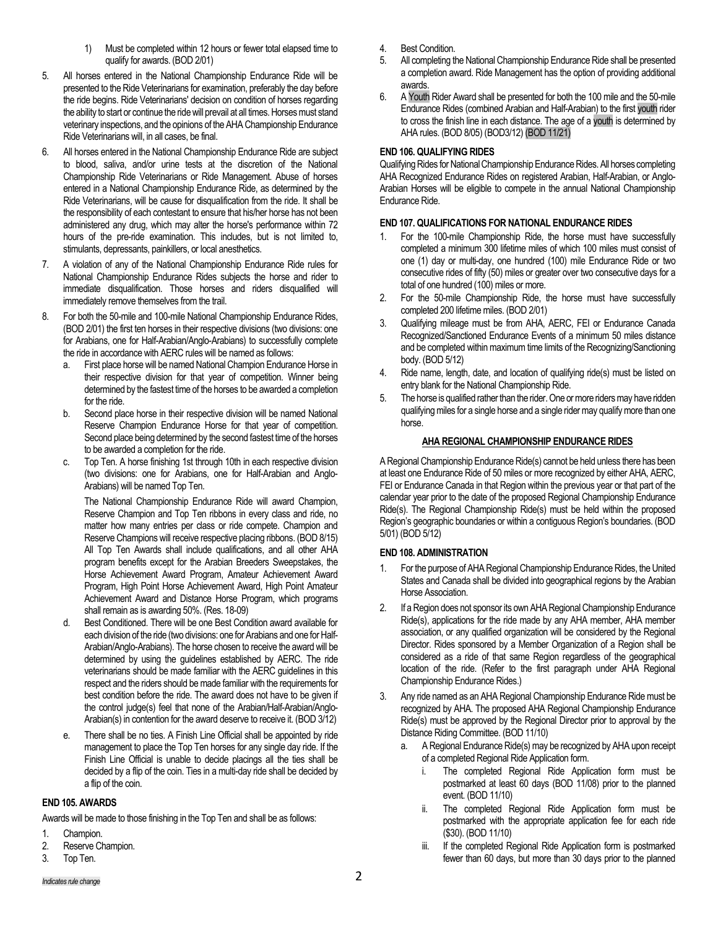- 1) Must be completed within 12 hours or fewer total elapsed time to qualify for awards. (BOD 2/01)
- 5. All horses entered in the National Championship Endurance Ride will be presented to the Ride Veterinarians for examination, preferably the day before the ride begins. Ride Veterinarians' decision on condition of horses regarding the ability to start or continue the ride will prevail at all times. Horses must stand veterinary inspections, and the opinions of the AHA Championship Endurance Ride Veterinarians will, in all cases, be final.
- 6. All horses entered in the National Championship Endurance Ride are subject to blood, saliva, and/or urine tests at the discretion of the National Championship Ride Veterinarians or Ride Management. Abuse of horses entered in a National Championship Endurance Ride, as determined by the Ride Veterinarians, will be cause for disqualification from the ride. It shall be the responsibility of each contestant to ensure that his/her horse has not been administered any drug, which may alter the horse's performance within 72 hours of the pre-ride examination. This includes, but is not limited to, stimulants, depressants, painkillers, or local anesthetics.
- 7. A violation of any of the National Championship Endurance Ride rules for National Championship Endurance Rides subjects the horse and rider to immediate disqualification. Those horses and riders disqualified will immediately remove themselves from the trail.
- 8. For both the 50-mile and 100-mile National Championship Endurance Rides, (BOD 2/01) the first ten horses in their respective divisions (two divisions: one for Arabians, one for Half-Arabian/Anglo-Arabians) to successfully complete the ride in accordance with AERC rules will be named as follows:
	- a. First place horse will be named National Champion Endurance Horse in their respective division for that year of competition. Winner being determined by the fastest time of the horses to be awarded a completion for the ride.
	- b. Second place horse in their respective division will be named National Reserve Champion Endurance Horse for that year of competition. Second place being determined by the second fastest time of the horses to be awarded a completion for the ride.
	- c. Top Ten. A horse finishing 1st through 10th in each respective division (two divisions: one for Arabians, one for Half-Arabian and Anglo-Arabians) will be named Top Ten.

The National Championship Endurance Ride will award Champion, Reserve Champion and Top Ten ribbons in every class and ride, no matter how many entries per class or ride compete. Champion and Reserve Champions will receive respective placing ribbons. (BOD 8/15) All Top Ten Awards shall include qualifications, and all other AHA program benefits except for the Arabian Breeders Sweepstakes, the Horse Achievement Award Program, Amateur Achievement Award Program, High Point Horse Achievement Award, High Point Amateur Achievement Award and Distance Horse Program, which programs shall remain as is awarding 50%. (Res. 18-09)

- d. Best Conditioned. There will be one Best Condition award available for each division of the ride (two divisions: one for Arabians and one for Half-Arabian/Anglo-Arabians). The horse chosen to receive the award will be determined by using the guidelines established by AERC. The ride veterinarians should be made familiar with the AERC guidelines in this respect and the riders should be made familiar with the requirements for best condition before the ride. The award does not have to be given if the control judge(s) feel that none of the Arabian/Half-Arabian/Anglo-Arabian(s) in contention for the award deserve to receive it. (BOD 3/12)
- e. There shall be no ties. A Finish Line Official shall be appointed by ride management to place the Top Ten horses for any single day ride. If the Finish Line Official is unable to decide placings all the ties shall be decided by a flip of the coin. Ties in a multi-day ride shall be decided by a flip of the coin.

### **END 105. AWARDS**

Awards will be made to those finishing in the Top Ten and shall be as follows:

- 1. Champion.
- 2. Reserve Champion.
- 3. Top Ten.
- 4. Best Condition.
- 5. All completing the National Championship Endurance Ride shall be presented a completion award. Ride Management has the option of providing additional awards.
- 6. A Youth Rider Award shall be presented for both the 100 mile and the 50-mile Endurance Rides (combined Arabian and Half-Arabian) to the first youth rider to cross the finish line in each distance. The age of a youth is determined by AHA rules. (BOD 8/05) (BOD3/12) (BOD 11/21)

# **END 106. QUALIFYING RIDES**

Qualifying Rides for National Championship Endurance Rides. All horses completing AHA Recognized Endurance Rides on registered Arabian, Half-Arabian, or Anglo-Arabian Horses will be eligible to compete in the annual National Championship Endurance Ride.

# **END 107. QUALIFICATIONS FOR NATIONAL ENDURANCE RIDES**

- 1. For the 100-mile Championship Ride, the horse must have successfully completed a minimum 300 lifetime miles of which 100 miles must consist of one (1) day or multi-day, one hundred (100) mile Endurance Ride or two consecutive rides of fifty (50) miles or greater over two consecutive days for a total of one hundred (100) miles or more.
- 2. For the 50-mile Championship Ride, the horse must have successfully completed 200 lifetime miles. (BOD 2/01)
- 3. Qualifying mileage must be from AHA, AERC, FEI or Endurance Canada Recognized/Sanctioned Endurance Events of a minimum 50 miles distance and be completed within maximum time limits of the Recognizing/Sanctioning body. (BOD 5/12)
- 4. Ride name, length, date, and location of qualifying ride(s) must be listed on entry blank for the National Championship Ride.
- 5. The horse is qualified rather than the rider. One or more riders may have ridden qualifying miles for a single horse and a single rider may qualify more than one horse.

# **AHA REGIONAL CHAMPIONSHIP ENDURANCE RIDES**

A Regional Championship Endurance Ride(s) cannot be held unless there has been at least one Endurance Ride of 50 miles or more recognized by either AHA, AERC, FEI or Endurance Canada in that Region within the previous year or that part of the calendar year prior to the date of the proposed Regional Championship Endurance Ride(s). The Regional Championship Ride(s) must be held within the proposed Region's geographic boundaries or within a contiguous Region's boundaries. (BOD 5/01) (BOD 5/12)

### **END 108. ADMINISTRATION**

- 1. For the purpose of AHA Regional Championship Endurance Rides, the United States and Canada shall be divided into geographical regions by the Arabian Horse Association.
- 2. If a Region does not sponsor its own AHA Regional Championship Endurance Ride(s), applications for the ride made by any AHA member, AHA member association, or any qualified organization will be considered by the Regional Director. Rides sponsored by a Member Organization of a Region shall be considered as a ride of that same Region regardless of the geographical location of the ride. (Refer to the first paragraph under AHA Regional Championship Endurance Rides.)
- 3. Any ride named as an AHA Regional Championship Endurance Ride must be recognized by AHA. The proposed AHA Regional Championship Endurance Ride(s) must be approved by the Regional Director prior to approval by the Distance Riding Committee. (BOD 11/10)
	- a. A Regional Endurance Ride(s) may be recognized by AHA upon receipt of a completed Regional Ride Application form.
		- i. The completed Regional Ride Application form must be postmarked at least 60 days (BOD 11/08) prior to the planned event. (BOD 11/10)
		- ii. The completed Regional Ride Application form must be postmarked with the appropriate application fee for each ride (\$30). (BOD 11/10)
		- iii. If the completed Regional Ride Application form is postmarked fewer than 60 days, but more than 30 days prior to the planned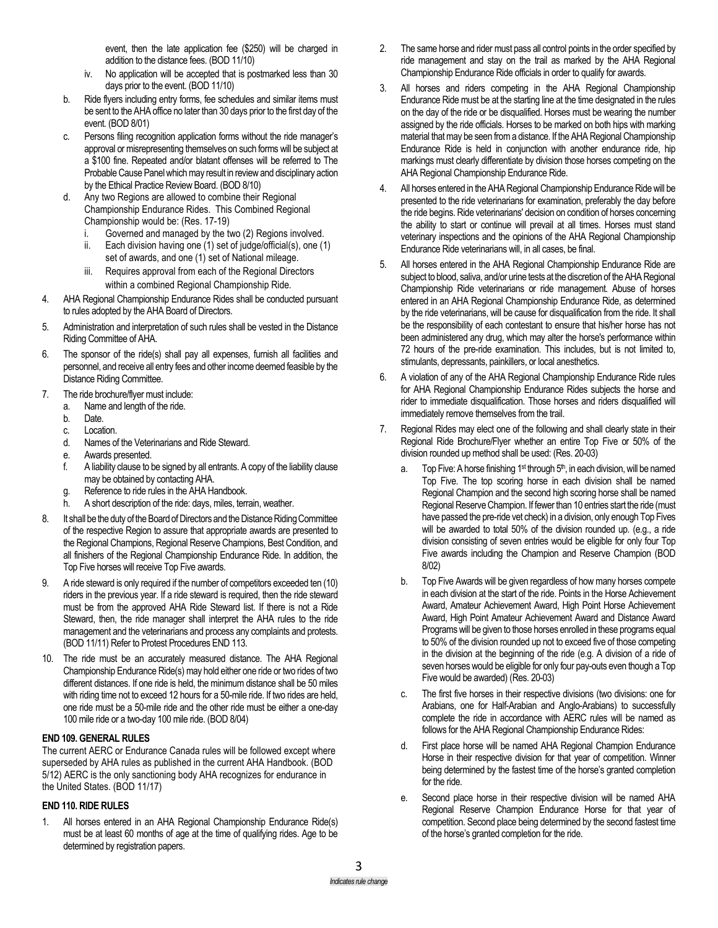event, then the late application fee (\$250) will be charged in addition to the distance fees. (BOD 11/10)

- iv. No application will be accepted that is postmarked less than 30 days prior to the event. (BOD 11/10)
- b. Ride flyers including entry forms, fee schedules and similar items must be sent to the AHA office no later than 30 days prior to the first day of the event. (BOD 8/01)
- c. Persons filing recognition application forms without the ride manager's approval or misrepresenting themselves on such forms will be subject at a \$100 fine. Repeated and/or blatant offenses will be referred to The Probable Cause Panel which may result in review and disciplinary action by the Ethical Practice Review Board. (BOD 8/10)
- d. Any two Regions are allowed to combine their Regional Championship Endurance Rides. This Combined Regional Championship would be: (Res. 17-19)
	- Governed and managed by the two (2) Regions involved.
	- ii. Each division having one (1) set of judge/official(s), one (1) set of awards, and one (1) set of National mileage.
	- iii. Requires approval from each of the Regional Directors within a combined Regional Championship Ride.
- 4. AHA Regional Championship Endurance Rides shall be conducted pursuant to rules adopted by the AHA Board of Directors.
- 5. Administration and interpretation of such rules shall be vested in the Distance Riding Committee of AHA.
- 6. The sponsor of the ride(s) shall pay all expenses, furnish all facilities and personnel, and receive all entry fees and other income deemed feasible by the Distance Riding Committee.
- 7. The ride brochure/flyer must include:
	- a. Name and length of the ride.
	- b. Date.<br>c. Locat
	- Location.
	- d. Names of the Veterinarians and Ride Steward.
	- e. Awards presented.
	- f. A liability clause to be signed by all entrants. A copy of the liability clause may be obtained by contacting AHA.
	- g. Reference to ride rules in the AHA Handbook.
	- h. A short description of the ride: days, miles, terrain, weather.
- 8. It shall be the duty of the Board of Directors and the Distance Riding Committee of the respective Region to assure that appropriate awards are presented to the Regional Champions, Regional Reserve Champions, Best Condition, and all finishers of the Regional Championship Endurance Ride. In addition, the Top Five horses will receive Top Five awards.
- 9. A ride steward is only required if the number of competitors exceeded ten (10) riders in the previous year. If a ride steward is required, then the ride steward must be from the approved AHA Ride Steward list. If there is not a Ride Steward, then, the ride manager shall interpret the AHA rules to the ride management and the veterinarians and process any complaints and protests. (BOD 11/11) Refer to Protest Procedures END 113.
- 10. The ride must be an accurately measured distance. The AHA Regional Championship Endurance Ride(s) may hold either one ride or two rides of two different distances. If one ride is held, the minimum distance shall be 50 miles with riding time not to exceed 12 hours for a 50-mile ride. If two rides are held, one ride must be a 50-mile ride and the other ride must be either a one-day 100 mile ride or a two-day 100 mile ride. (BOD 8/04)

### **END 109. GENERAL RULES**

The current AERC or Endurance Canada rules will be followed except where superseded by AHA rules as published in the current AHA Handbook. (BOD 5/12) AERC is the only sanctioning body AHA recognizes for endurance in the United States. (BOD 11/17)

### **END 110. RIDE RULES**

1. All horses entered in an AHA Regional Championship Endurance Ride(s) must be at least 60 months of age at the time of qualifying rides. Age to be determined by registration papers.

- 2. The same horse and rider must pass all control points in the order specified by ride management and stay on the trail as marked by the AHA Regional Championship Endurance Ride officials in order to qualify for awards.
- 3. All horses and riders competing in the AHA Regional Championship Endurance Ride must be at the starting line at the time designated in the rules on the day of the ride or be disqualified. Horses must be wearing the number assigned by the ride officials. Horses to be marked on both hips with marking material that may be seen from a distance. If the AHA Regional Championship Endurance Ride is held in conjunction with another endurance ride, hip markings must clearly differentiate by division those horses competing on the AHA Regional Championship Endurance Ride.
- 4. All horses entered in the AHA Regional Championship Endurance Ride will be presented to the ride veterinarians for examination, preferably the day before the ride begins. Ride veterinarians' decision on condition of horses concerning the ability to start or continue will prevail at all times. Horses must stand veterinary inspections and the opinions of the AHA Regional Championship Endurance Ride veterinarians will, in all cases, be final.
- 5. All horses entered in the AHA Regional Championship Endurance Ride are subject to blood, saliva, and/or urine tests at the discretion of the AHA Regional Championship Ride veterinarians or ride management. Abuse of horses entered in an AHA Regional Championship Endurance Ride, as determined by the ride veterinarians, will be cause for disqualification from the ride. It shall be the responsibility of each contestant to ensure that his/her horse has not been administered any drug, which may alter the horse's performance within 72 hours of the pre-ride examination. This includes, but is not limited to, stimulants, depressants, painkillers, or local anesthetics.
- 6. A violation of any of the AHA Regional Championship Endurance Ride rules for AHA Regional Championship Endurance Rides subjects the horse and rider to immediate disqualification. Those horses and riders disqualified will immediately remove themselves from the trail.
- 7. Regional Rides may elect one of the following and shall clearly state in their Regional Ride Brochure/Flyer whether an entire Top Five or 50% of the division rounded up method shall be used: (Res. 20-03)
	- Top Five: A horse finishing 1<sup>st</sup> through 5<sup>th</sup>, in each division, will be named Top Five. The top scoring horse in each division shall be named Regional Champion and the second high scoring horse shall be named Regional Reserve Champion. If fewer than 10 entries start the ride (must have passed the pre-ride vet check) in a division, only enough Top Fives will be awarded to total 50% of the division rounded up. (e.g., a ride division consisting of seven entries would be eligible for only four Top Five awards including the Champion and Reserve Champion (BOD 8/02)
	- b. Top Five Awards will be given regardless of how many horses compete in each division at the start of the ride. Points in the Horse Achievement Award, Amateur Achievement Award, High Point Horse Achievement Award, High Point Amateur Achievement Award and Distance Award Programs will be given to those horses enrolled in these programs equal to 50% of the division rounded up not to exceed five of those competing in the division at the beginning of the ride (e.g. A division of a ride of seven horses would be eligible for only four pay-outs even though a Top Five would be awarded) (Res. 20-03)
	- c. The first five horses in their respective divisions (two divisions: one for Arabians, one for Half-Arabian and Anglo-Arabians) to successfully complete the ride in accordance with AERC rules will be named as follows for the AHA Regional Championship Endurance Rides:
	- d. First place horse will be named AHA Regional Champion Endurance Horse in their respective division for that year of competition. Winner being determined by the fastest time of the horse's granted completion for the ride.
	- e. Second place horse in their respective division will be named AHA Regional Reserve Champion Endurance Horse for that year of competition. Second place being determined by the second fastest time of the horse's granted completion for the ride.